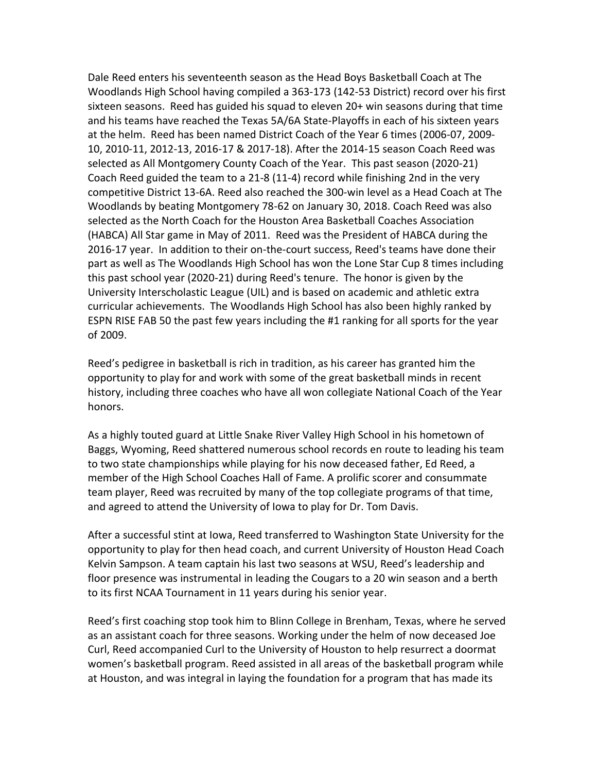Dale Reed enters his seventeenth season as the Head Boys Basketball Coach at The Woodlands High School having compiled a 363-173 (142-53 District) record over his first sixteen seasons. Reed has guided his squad to eleven 20+ win seasons during that time and his teams have reached the Texas 5A/6A State-Playoffs in each of his sixteen years at the helm. Reed has been named District Coach of the Year 6 times (2006-07, 2009- 10, 2010-11, 2012-13, 2016-17 & 2017-18). After the 2014-15 season Coach Reed was selected as All Montgomery County Coach of the Year. This past season (2020-21) Coach Reed guided the team to a 21-8 (11-4) record while finishing 2nd in the very competitive District 13-6A. Reed also reached the 300-win level as a Head Coach at The Woodlands by beating Montgomery 78-62 on January 30, 2018. Coach Reed was also selected as the North Coach for the Houston Area Basketball Coaches Association (HABCA) All Star game in May of 2011. Reed was the President of HABCA during the 2016-17 year. In addition to their on-the-court success, Reed's teams have done their part as well as The Woodlands High School has won the Lone Star Cup 8 times including this past school year (2020-21) during Reed's tenure. The honor is given by the University Interscholastic League (UIL) and is based on academic and athletic extra curricular achievements. The Woodlands High School has also been highly ranked by ESPN RISE FAB 50 the past few years including the #1 ranking for all sports for the year of 2009.

Reed's pedigree in basketball is rich in tradition, as his career has granted him the opportunity to play for and work with some of the great basketball minds in recent history, including three coaches who have all won collegiate National Coach of the Year honors.

As a highly touted guard at Little Snake River Valley High School in his hometown of Baggs, Wyoming, Reed shattered numerous school records en route to leading his team to two state championships while playing for his now deceased father, Ed Reed, a member of the High School Coaches Hall of Fame. A prolific scorer and consummate team player, Reed was recruited by many of the top collegiate programs of that time, and agreed to attend the University of Iowa to play for Dr. Tom Davis.

After a successful stint at Iowa, Reed transferred to Washington State University for the opportunity to play for then head coach, and current University of Houston Head Coach Kelvin Sampson. A team captain his last two seasons at WSU, Reed's leadership and floor presence was instrumental in leading the Cougars to a 20 win season and a berth to its first NCAA Tournament in 11 years during his senior year.

Reed's first coaching stop took him to Blinn College in Brenham, Texas, where he served as an assistant coach for three seasons. Working under the helm of now deceased Joe Curl, Reed accompanied Curl to the University of Houston to help resurrect a doormat women's basketball program. Reed assisted in all areas of the basketball program while at Houston, and was integral in laying the foundation for a program that has made its